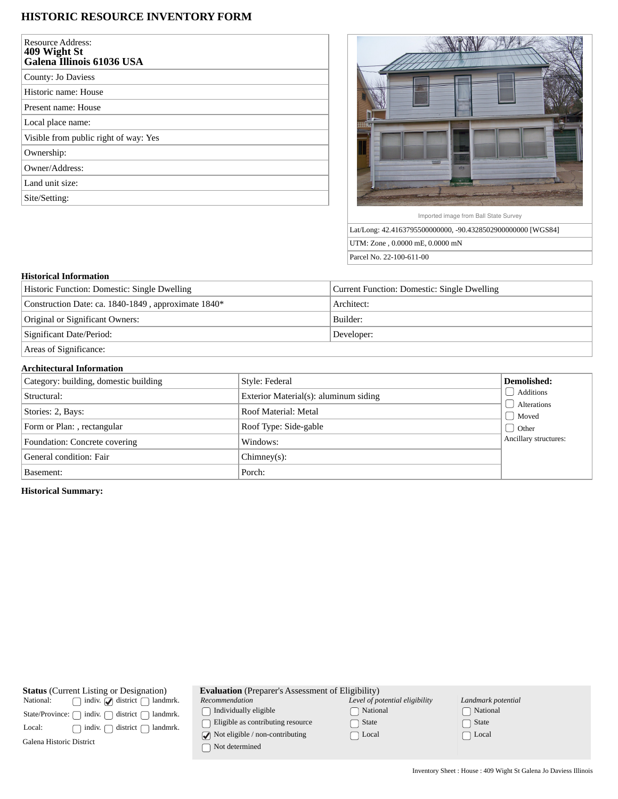# **HISTORIC RESOURCE INVENTORY FORM**

| <b>Resource Address:</b><br>409 Wight St<br>Galena Illinois 61036 USA |
|-----------------------------------------------------------------------|
| County: Jo Daviess                                                    |
| Historic name: House                                                  |
| Present name: House                                                   |
| Local place name:                                                     |
| Visible from public right of way: Yes                                 |
| Ownership:                                                            |
| Owner/Address:                                                        |
| Land unit size:                                                       |
| Site/Setting:                                                         |



Imported image from Ball State Survey

Lat/Long: 42.4163795500000000, -90.4328502900000000 [WGS84] UTM: Zone , 0.0000 mE, 0.0000 mN Parcel No. 22-100-611-00

#### **Historical Information**

| Historic Function: Domestic: Single Dwelling        | Current Function: Domestic: Single Dwelling |  |
|-----------------------------------------------------|---------------------------------------------|--|
| Construction Date: ca. 1840-1849, approximate 1840* | Architect:                                  |  |
| Original or Significant Owners:                     | Builder:                                    |  |
| Significant Date/Period:                            | Developer:                                  |  |
| Areas of Significance:                              |                                             |  |

## **Architectural Information**

| Category: building, domestic building | Style: Federal                        | Demolished:            |
|---------------------------------------|---------------------------------------|------------------------|
| Structural:                           | Exterior Material(s): aluminum siding | Additions              |
| Stories: 2, Bays:                     | Roof Material: Metal                  | Alterations<br>  Moved |
| Form or Plan: , rectangular           | Roof Type: Side-gable                 | <b>Other</b>           |
| Foundation: Concrete covering         | Windows:                              | Ancillary structures:  |
| General condition: Fair               | $Chimney(s)$ :                        |                        |
| Basement:                             | Porch:                                |                        |

## **Historical Summary:**

| <b>Status</b> (Current Listing or Designation)                | <b>Evaluation</b> (Preparer's Assessment of Eligibility)               |                                |                    |  |
|---------------------------------------------------------------|------------------------------------------------------------------------|--------------------------------|--------------------|--|
| indiv. $\bigcirc$ district $\bigcap$<br>National:<br>landmrk. | Recommendation                                                         | Level of potential eligibility | Landmark potential |  |
| indiv.<br>district<br>State/Province:<br>landmrk.             | Individually eligible                                                  | National                       | $\Box$ National    |  |
| indiv.<br>district<br>landmrk.<br>Local:                      | Eligible as contributing resource                                      | State                          | State              |  |
| Galena Historic District                                      | $\sqrt{\phantom{a}}$ Not eligible / non-contributing<br>Not determined | Local                          | Local              |  |